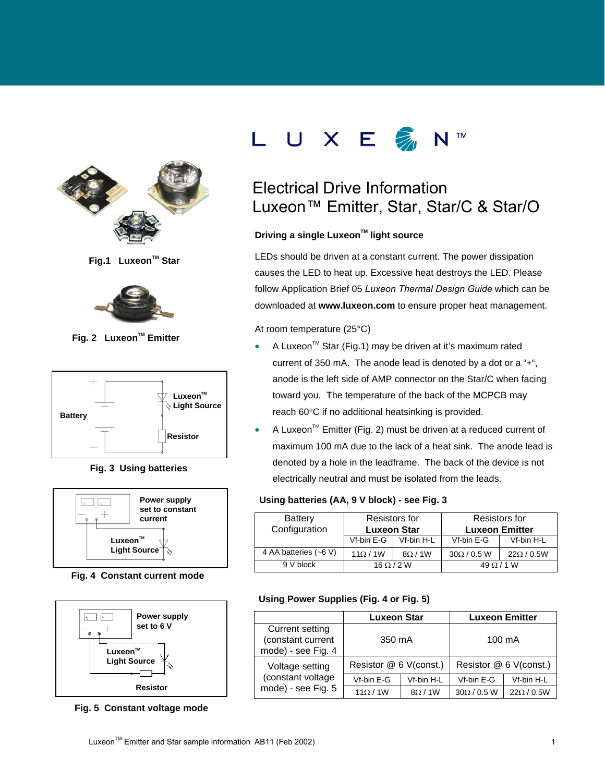

**Fig.1 Luxeon™ Star** 



**Fig. 2 Luxeon™ Emitter** 



 **Fig. 3 Using batteries**



 **Fig. 4 Constant current mode**



 **Fig. 5 Constant voltage mode**



# Electrical Drive Information Luxeon<sup>™</sup> Emitter, Star, Star/C & Star/O

### **Driving a single Luxeon™ light source**

LEDs should be driven at a constant current. The power dissipation causes the LED to heat up. Excessive heat destroys the LED. Please follow Application Brief 05 *Luxeon Thermal Design Guide* which can be downloaded at **www.luxeon.com** to ensure proper heat management.

At room temperature (25°C)

- A Luxeon<sup>™</sup> Star (Fig.1) may be driven at it's maximum rated current of 350 mA. The anode lead is denoted by a dot or a "+", anode is the left side of AMP connector on the Star/C when facing toward you. The temperature of the back of the MCPCB may reach 60°C if no additional heatsinking is provided.
- A Luxeon<sup>™</sup> Emitter (Fig. 2) must be driven at a reduced current of maximum 100 mA due to the lack of a heat sink. The anode lead is denoted by a hole in the leadframe. The back of the device is not electrically neutral and must be isolated from the leads.

### **Using batteries (AA, 9 V block) - see Fig. 3**

| <b>Battery</b><br>Configuration | Resistors for<br><b>Luxeon Star</b> |            | Resistors for<br><b>Luxeon Emitter</b> |                 |  |
|---------------------------------|-------------------------------------|------------|----------------------------------------|-----------------|--|
|                                 | Vf-bin E-G                          | Vf-bin H-L | Vf-bin E-G                             | Vf-bin H-L      |  |
| 4 AA batteries (~6 V)           | $11\Omega/1W$                       | 8Q/1W      | $30\Omega/0.5$ W                       | $22\Omega/0.5W$ |  |
| 9 V block                       | $16 \Omega / 2 W$                   |            | $49 \Omega / 1 W$                      |                 |  |

### **Using Power Supplies (Fig. 4 or Fig. 5)**

|                                                            | <b>Luxeon Star</b>     |              | <b>Luxeon Emitter</b>  |                 |  |
|------------------------------------------------------------|------------------------|--------------|------------------------|-----------------|--|
| Current setting<br>(constant current<br>mode) - see Fig. 4 | 350 mA                 |              | 100 mA                 |                 |  |
| Voltage setting                                            | Resistor @ 6 V(const.) |              | Resistor @ 6 V(const.) |                 |  |
| (constant voltage                                          | Vf-bin E-G             | Vf-bin H-L   | Vf-bin E-G             | Vf-bin H-L      |  |
| mode) - see Fig. 5                                         | $11\Omega/1W$          | $8\Omega/1W$ | $30\Omega/0.5$ W       | $22\Omega/0.5W$ |  |